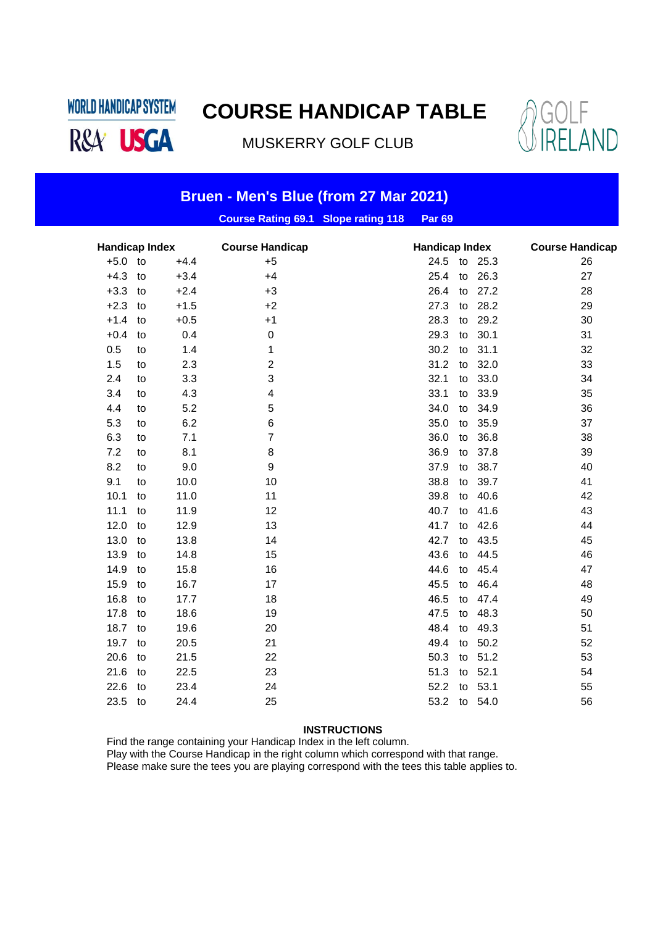**WORLD HANDICAP SYSTEM** R&A<sup>V</sup> USGA

# **COURSE HANDICAP TABLE**

MUSKERRY GOLF CLUB



| Bruen - Men's Blue (from 27 Mar 2021) |    |        |                                            |                       |                        |  |
|---------------------------------------|----|--------|--------------------------------------------|-----------------------|------------------------|--|
|                                       |    |        | <b>Course Rating 69.1 Slope rating 118</b> | <b>Par 69</b>         |                        |  |
| <b>Handicap Index</b>                 |    |        | <b>Course Handicap</b>                     | <b>Handicap Index</b> | <b>Course Handicap</b> |  |
| $+5.0$                                | to | $+4.4$ | $+5$                                       | 24.5 to 25.3          | 26                     |  |
| $+4.3$                                | to | $+3.4$ | $+4$                                       | 25.4<br>26.3<br>to    | 27                     |  |
| $+3.3$                                | to | $+2.4$ | $+3$                                       | 26.4<br>27.2<br>to    | 28                     |  |
| $+2.3$                                | to | $+1.5$ | $+2$                                       | 28.2<br>27.3<br>to    | 29                     |  |
| $+1.4$                                | to | $+0.5$ | $+1$                                       | 28.3<br>29.2<br>to    | 30                     |  |
| $+0.4$                                | to | 0.4    | $\pmb{0}$                                  | 29.3<br>30.1<br>to    | 31                     |  |
| 0.5                                   | to | 1.4    | 1                                          | 30.2<br>31.1<br>to    | 32                     |  |
| 1.5                                   | to | 2.3    | 2                                          | 31.2<br>32.0<br>to    | 33                     |  |
| 2.4                                   | to | 3.3    | 3                                          | 32.1<br>33.0<br>to    | 34                     |  |
| 3.4                                   | to | 4.3    | 4                                          | 33.1<br>33.9<br>to    | 35                     |  |
| 4.4                                   | to | 5.2    | 5                                          | 34.0<br>34.9<br>to    | 36                     |  |
| 5.3                                   | to | 6.2    | 6                                          | 35.0<br>35.9<br>to    | 37                     |  |
| 6.3                                   | to | 7.1    | 7                                          | 36.8<br>36.0<br>to    | 38                     |  |
| 7.2                                   | to | 8.1    | 8                                          | 36.9<br>37.8<br>to    | 39                     |  |
| 8.2                                   | to | 9.0    | $\boldsymbol{9}$                           | 37.9<br>38.7<br>to    | 40                     |  |
| 9.1                                   | to | 10.0   | 10                                         | 38.8<br>39.7<br>to    | 41                     |  |
| 10.1                                  | to | 11.0   | 11                                         | 39.8<br>40.6<br>to    | 42                     |  |
| 11.1                                  | to | 11.9   | 12                                         | 40.7<br>41.6<br>to    | 43                     |  |
| 12.0                                  | to | 12.9   | 13                                         | 41.7<br>42.6<br>to    | 44                     |  |
| 13.0                                  | to | 13.8   | 14                                         | 42.7<br>43.5<br>to    | 45                     |  |
| 13.9                                  | to | 14.8   | 15                                         | 43.6<br>44.5<br>to    | 46                     |  |
| 14.9                                  | to | 15.8   | 16                                         | 45.4<br>44.6<br>to    | 47                     |  |
| 15.9                                  | to | 16.7   | 17                                         | 45.5<br>46.4<br>to    | 48                     |  |
| 16.8                                  | to | 17.7   | 18                                         | 46.5<br>47.4<br>to    | 49                     |  |
| 17.8                                  | to | 18.6   | 19                                         | 48.3<br>47.5<br>to    | 50                     |  |
| 18.7                                  | to | 19.6   | 20                                         | 48.4<br>49.3<br>to    | 51                     |  |
| 19.7                                  | to | 20.5   | 21                                         | 49.4<br>50.2<br>to    | 52                     |  |
| 20.6                                  | to | 21.5   | 22                                         | 50.3<br>51.2<br>to    | 53                     |  |
| 21.6                                  | to | 22.5   | 23                                         | 51.3<br>52.1<br>to    | 54                     |  |
| 22.6                                  | to | 23.4   | 24                                         | 52.2<br>53.1<br>to    | 55                     |  |
| 23.5                                  | to | 24.4   | 25                                         | 53.2<br>to 54.0       | 56                     |  |

#### **INSTRUCTIONS**

Find the range containing your Handicap Index in the left column.

Play with the Course Handicap in the right column which correspond with that range.

Please make sure the tees you are playing correspond with the tees this table applies to.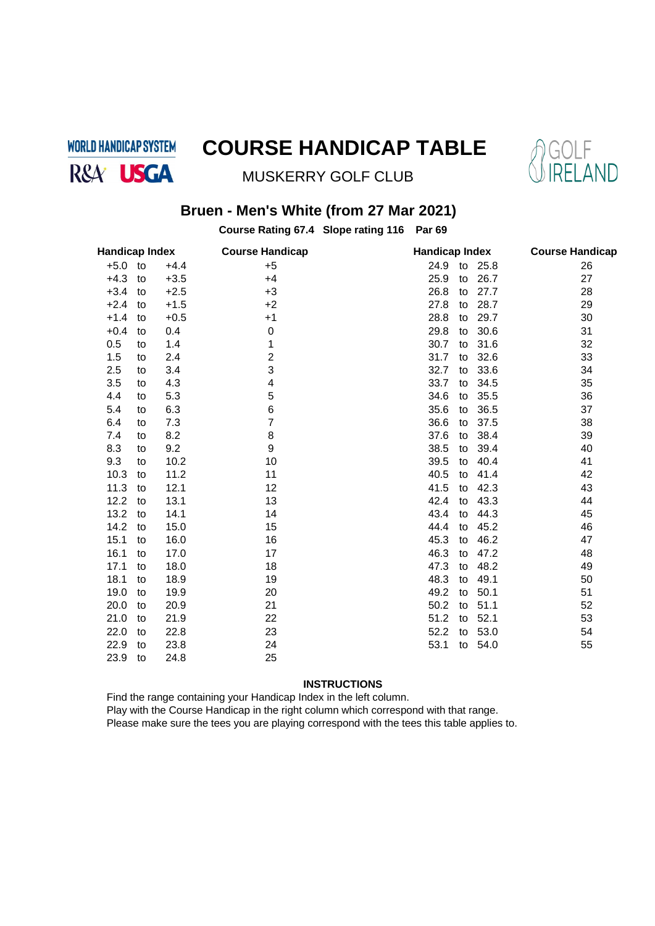**WORLD HANDICAP SYSTEM** R&A<sup>'</sup> USGA

# **COURSE HANDICAP TABLE**



MUSKERRY GOLF CLUB

## **Bruen - Men's White (from 27 Mar 2021)**

**Course Rating 67.4 Slope rating 116 Par 69**

| <b>Handicap Index</b> |    |        | <b>Course Handicap</b> |            | <b>Handicap Index</b> |    |  |  |
|-----------------------|----|--------|------------------------|------------|-----------------------|----|--|--|
| $+5.0$ to             |    | $+4.4$ | $+5$                   | 24.9       | to 25.8               | 26 |  |  |
| $+4.3$                | to | $+3.5$ | $+4$                   | 25.9<br>to | 26.7                  | 27 |  |  |
| $+3.4$                | to | $+2.5$ | +3                     | 26.8<br>to | 27.7                  | 28 |  |  |
| $+2.4$                | to | $+1.5$ | $+2$                   | 27.8<br>to | 28.7                  | 29 |  |  |
| $+1.4$                | to | $+0.5$ | $+1$                   | 28.8<br>to | 29.7                  | 30 |  |  |
| $+0.4$                | to | 0.4    | 0                      | 29.8<br>to | 30.6                  | 31 |  |  |
| 0.5                   | to | 1.4    | 1                      | 30.7<br>to | 31.6                  | 32 |  |  |
| 1.5                   | to | 2.4    | $\overline{2}$         | 31.7<br>to | 32.6                  | 33 |  |  |
| 2.5                   | to | 3.4    | 3                      | 32.7<br>to | 33.6                  | 34 |  |  |
| 3.5                   | to | 4.3    | 4                      | 33.7<br>to | 34.5                  | 35 |  |  |
| 4.4                   | to | 5.3    | 5                      | 34.6<br>to | 35.5                  | 36 |  |  |
| 5.4                   | to | 6.3    | 6                      | 35.6<br>to | 36.5                  | 37 |  |  |
| 6.4                   | to | 7.3    | 7                      | 36.6<br>to | 37.5                  | 38 |  |  |
| 7.4                   | to | 8.2    | 8                      | 37.6<br>to | 38.4                  | 39 |  |  |
| 8.3                   | to | 9.2    | 9                      | 38.5<br>to | 39.4                  | 40 |  |  |
| 9.3                   | to | 10.2   | 10                     | 39.5<br>to | 40.4                  | 41 |  |  |
| 10.3                  | to | 11.2   | 11                     | 40.5<br>to | 41.4                  | 42 |  |  |
| 11.3                  | to | 12.1   | 12                     | 41.5<br>to | 42.3                  | 43 |  |  |
| 12.2                  | to | 13.1   | 13                     | 42.4<br>to | 43.3                  | 44 |  |  |
| 13.2                  | to | 14.1   | 14                     | 43.4<br>to | 44.3                  | 45 |  |  |
| 14.2                  | to | 15.0   | 15                     | 44.4<br>to | 45.2                  | 46 |  |  |
| 15.1                  | to | 16.0   | 16                     | 45.3<br>to | 46.2                  | 47 |  |  |
| 16.1                  | to | 17.0   | 17                     | 46.3<br>to | 47.2                  | 48 |  |  |
| 17.1                  | to | 18.0   | 18                     | 47.3<br>to | 48.2                  | 49 |  |  |
| 18.1                  | to | 18.9   | 19                     | 48.3<br>to | 49.1                  | 50 |  |  |
| 19.0                  | to | 19.9   | 20                     | 49.2<br>to | 50.1                  | 51 |  |  |
| 20.0                  | to | 20.9   | 21                     | 50.2<br>to | 51.1                  | 52 |  |  |
| 21.0                  | to | 21.9   | 22                     | 51.2<br>to | 52.1                  | 53 |  |  |
| 22.0                  | to | 22.8   | 23                     | 52.2<br>to | 53.0                  | 54 |  |  |
| 22.9                  | to | 23.8   | 24                     | 53.1<br>to | 54.0                  | 55 |  |  |
| 23.9                  | to | 24.8   | 25                     |            |                       |    |  |  |

### **INSTRUCTIONS**

Find the range containing your Handicap Index in the left column.

Play with the Course Handicap in the right column which correspond with that range.

Please make sure the tees you are playing correspond with the tees this table applies to.